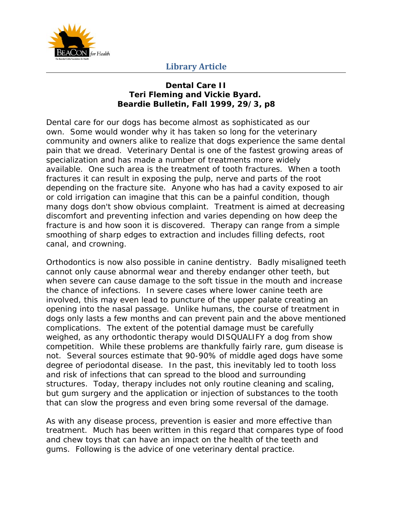

## **Library Article**

#### **Dental Care II Teri Fleming and Vickie Byard. Beardie Bulletin, Fall 1999, 29/3, p8**

Dental care for our dogs has become almost as sophisticated as our own. Some would wonder why it has taken so long for the veterinary community and owners alike to realize that dogs experience the same dental pain that we dread. Veterinary Dental is one of the fastest growing areas of specialization and has made a number of treatments more widely available. One such area is the treatment of tooth fractures. When a tooth fractures it can result in exposing the pulp, nerve and parts of the root depending on the fracture site. Anyone who has had a cavity exposed to air or cold irrigation can imagine that this can be a painful condition, though many dogs don't show obvious complaint. Treatment is aimed at decreasing discomfort and preventing infection and varies depending on how deep the fracture is and how soon it is discovered. Therapy can range from a simple smoothing of sharp edges to extraction and includes filling defects, root canal, and crowning.

Orthodontics is now also possible in canine dentistry. Badly misaligned teeth cannot only cause abnormal wear and thereby endanger other teeth, but when severe can cause damage to the soft tissue in the mouth and increase the chance of infections. In severe cases where lower canine teeth are involved, this may even lead to puncture of the upper palate creating an opening into the nasal passage. Unlike humans, the course of treatment in dogs only lasts a few months and can prevent pain and the above mentioned complications. The extent of the potential damage must be carefully weighed, as any orthodontic therapy would DISQUALIFY a dog from show competition. While these problems are thankfully fairly rare, gum disease is not. Several sources estimate that 90-90% of middle aged dogs have some degree of periodontal disease. In the past, this inevitably led to tooth loss and risk of infections that can spread to the blood and surrounding structures. Today, therapy includes not only routine cleaning and scaling, but gum surgery and the application or injection of substances to the tooth that can slow the progress and even bring some reversal of the damage.

As with any disease process, prevention is easier and more effective than treatment. Much has been written in this regard that compares type of food and chew toys that can have an impact on the health of the teeth and gums. Following is the advice of one veterinary dental practice.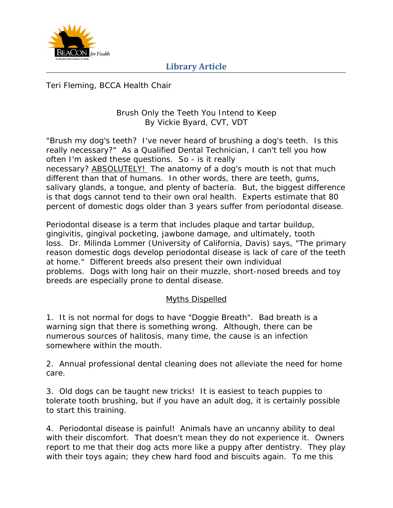

## **Library Article**

Teri Fleming, BCCA Health Chair

### Brush Only the Teeth You Intend to Keep By Vickie Byard, CVT, VDT

"Brush my dog's teeth? I've never heard of brushing a dog's teeth. Is this really necessary?" As a Qualified Dental Technician, I can't tell you how often I'm asked these questions. So - is it really necessary? ABSOLUTELY! The anatomy of a dog's mouth is not that much different than that of humans. In other words, there are teeth, gums, salivary glands, a tongue, and plenty of bacteria. But, the biggest difference is that dogs cannot tend to their own oral health. Experts estimate that 80 percent of domestic dogs older than 3 years suffer from periodontal disease.

Periodontal disease is a term that includes plaque and tartar buildup, gingivitis, gingival pocketing, jawbone damage, and ultimately, tooth loss. Dr. Milinda Lommer (University of California, Davis) says, "The primary reason domestic dogs develop periodontal disease is lack of care of the teeth at home." Different breeds also present their own individual problems. Dogs with long hair on their muzzle, short-nosed breeds and toy breeds are especially prone to dental disease.

### Myths Dispelled

1. It is not normal for dogs to have "Doggie Breath". Bad breath is a warning sign that there is something wrong. Although, there can be numerous sources of halitosis, many time, the cause is an infection somewhere within the mouth.

2. Annual professional dental cleaning does not alleviate the need for home care.

3. Old dogs can be taught new tricks! It is easiest to teach puppies to tolerate tooth brushing, but if you have an adult dog, it is certainly possible to start this training.

4. Periodontal disease is painful! Animals have an uncanny ability to deal with their discomfort. That doesn't mean they do not experience it. Owners report to me that their dog acts more like a puppy after dentistry. They play with their toys again; they chew hard food and biscuits again. To me this